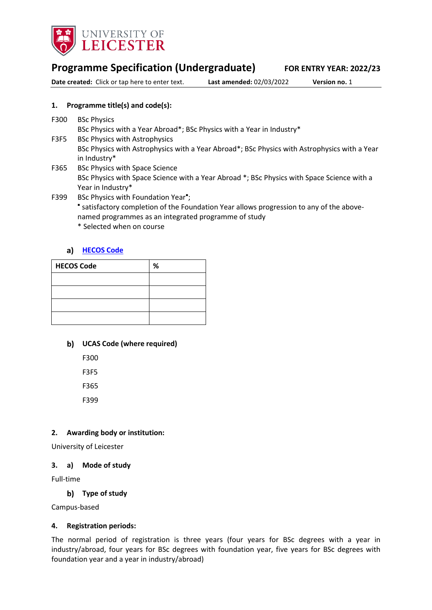

# **Programme Specification (Undergraduate) FOR ENTRY YEAR: 2022/23**

**Date created:** Click or tap here to enter text. **Last amended:** 02/03/2022 **Version no.** 1

# **1. Programme title(s) and code(s):**

- F300 BSc Physics BSc Physics with a Year Abroad\*; BSc Physics with a Year in Industry\* F3F5 BSc Physics with Astrophysics BSc Physics with Astrophysics with a Year Abroad\*; BSc Physics with Astrophysics with a Year in Industry\* F365 BSc Physics with Space Science
- BSc Physics with Space Science with a Year Abroad \*; BSc Physics with Space Science with a Year in Industry\*
- F399 BSc Physics with Foundation Year<sup>\*</sup>; satisfactory completion of the Foundation Year allows progression to any of the abovenamed programmes as an integrated programme of study

\* Selected when on course

### **[HECOS Code](https://www.hesa.ac.uk/innovation/hecos)**

| <b>HECOS Code</b> | % |
|-------------------|---|
|                   |   |
|                   |   |
|                   |   |
|                   |   |

# **UCAS Code (where required)**

F300

F3F5

F365

F399

# **2. Awarding body or institution:**

University of Leicester

# **3. a) Mode of study**

Full-time

**Type of study**

Campus-based

# **4. Registration periods:**

The normal period of registration is three years (four years for BSc degrees with a year in industry/abroad, four years for BSc degrees with foundation year, five years for BSc degrees with foundation year and a year in industry/abroad)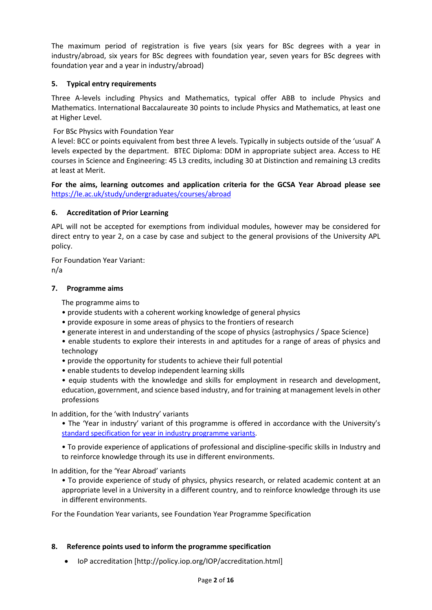The maximum period of registration is five years (six years for BSc degrees with a year in industry/abroad, six years for BSc degrees with foundation year, seven years for BSc degrees with foundation year and a year in industry/abroad)

# **5. Typical entry requirements**

Three A-levels including Physics and Mathematics, typical offer ABB to include Physics and Mathematics. International Baccalaureate 30 points to include Physics and Mathematics, at least one at Higher Level.

# For BSc Physics with Foundation Year

A level: BCC or points equivalent from best three A levels. Typically in subjects outside of the 'usual' A levels expected by the department. BTEC Diploma: DDM in appropriate subject area. Access to HE courses in Science and Engineering: 45 L3 credits, including 30 at Distinction and remaining L3 credits at least at Merit.

**For the aims, learning outcomes and application criteria for the GCSA Year Abroad please see**  <https://le.ac.uk/study/undergraduates/courses/abroad>

# **6. Accreditation of Prior Learning**

APL will not be accepted for exemptions from individual modules, however may be considered for direct entry to year 2, on a case by case and subject to the general provisions of the University APL policy.

For Foundation Year Variant: n/a

### **7. Programme aims**

The programme aims to

- provide students with a coherent working knowledge of general physics
- provide exposure in some areas of physics to the frontiers of research
- generate interest in and understanding of the scope of physics {astrophysics / Space Science}
- enable students to explore their interests in and aptitudes for a range of areas of physics and technology
- provide the opportunity for students to achieve their full potential
- enable students to develop independent learning skills
- equip students with the knowledge and skills for employment in research and development, education, government, and science based industry, and for training at management levels in other professions

In addition, for the 'with Industry' variants

• The 'Year in industry' variant of this programme is offered in accordance with the University's [standard specification for year in industry programme variants.](https://www2.le.ac.uk/offices/sas2/courses/documentation/undergraduate-programme-specification-content-for-year-in-industry-programme-variants)

• To provide experience of applications of professional and discipline-specific skills in Industry and to reinforce knowledge through its use in different environments.

In addition, for the 'Year Abroad' variants

• To provide experience of study of physics, physics research, or related academic content at an appropriate level in a University in a different country, and to reinforce knowledge through its use in different environments.

For the Foundation Year variants, see Foundation Year Programme Specification

#### **8. Reference points used to inform the programme specification**

• IoP accreditation [http://policy.iop.org/IOP/accreditation.html]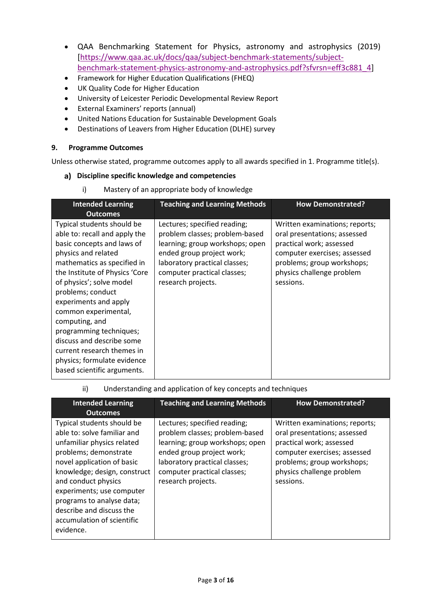- QAA Benchmarking Statement for Physics, astronomy and astrophysics (2019) [\[https://www.qaa.ac.uk/docs/qaa/subject-benchmark-statements/subject](https://eur03.safelinks.protection.outlook.com/?url=https%3A%2F%2Fwww.qaa.ac.uk%2Fdocs%2Fqaa%2Fsubject-benchmark-statements%2Fsubject-benchmark-statement-physics-astronomy-and-astrophysics.pdf%3Fsfvrsn%3Deff3c881_4&data=04%7C01%7Csav2%40leicester.ac.uk%7C8b98ca777ec0461f3e9708d8bece52f9%7Caebecd6a31d44b0195ce8274afe853d9%7C0%7C0%7C637469140961021592%7CUnknown%7CTWFpbGZsb3d8eyJWIjoiMC4wLjAwMDAiLCJQIjoiV2luMzIiLCJBTiI6Ik1haWwiLCJXVCI6Mn0%3D%7C1000&sdata=Ij5LOZDWmzZbjA01y792FHl%2Bg3ThWFRVb7ihLjbN%2FeE%3D&reserved=0)[benchmark-statement-physics-astronomy-and-astrophysics.pdf?sfvrsn=eff3c881\\_4\]](https://eur03.safelinks.protection.outlook.com/?url=https%3A%2F%2Fwww.qaa.ac.uk%2Fdocs%2Fqaa%2Fsubject-benchmark-statements%2Fsubject-benchmark-statement-physics-astronomy-and-astrophysics.pdf%3Fsfvrsn%3Deff3c881_4&data=04%7C01%7Csav2%40leicester.ac.uk%7C8b98ca777ec0461f3e9708d8bece52f9%7Caebecd6a31d44b0195ce8274afe853d9%7C0%7C0%7C637469140961021592%7CUnknown%7CTWFpbGZsb3d8eyJWIjoiMC4wLjAwMDAiLCJQIjoiV2luMzIiLCJBTiI6Ik1haWwiLCJXVCI6Mn0%3D%7C1000&sdata=Ij5LOZDWmzZbjA01y792FHl%2Bg3ThWFRVb7ihLjbN%2FeE%3D&reserved=0)
- Framework for Higher Education Qualifications (FHEQ)
- UK Quality Code for Higher Education
- University of Leicester Periodic Developmental Review Report
- External Examiners' reports (annual)
- United Nations Education for Sustainable Development Goals
- Destinations of Leavers from Higher Education (DLHE) survey

# **9. Programme Outcomes**

Unless otherwise stated, programme outcomes apply to all awards specified in 1. Programme title(s).

# **Discipline specific knowledge and competencies**

i) Mastery of an appropriate body of knowledge

| <b>Intended Learning</b><br><b>Outcomes</b>                                                                                                                                                                                                                                                                                                                                                                                                               | <b>Teaching and Learning Methods</b>                                                                                                                                                                                 | <b>How Demonstrated?</b>                                                                                                                                                                           |
|-----------------------------------------------------------------------------------------------------------------------------------------------------------------------------------------------------------------------------------------------------------------------------------------------------------------------------------------------------------------------------------------------------------------------------------------------------------|----------------------------------------------------------------------------------------------------------------------------------------------------------------------------------------------------------------------|----------------------------------------------------------------------------------------------------------------------------------------------------------------------------------------------------|
| Typical students should be<br>able to: recall and apply the<br>basic concepts and laws of<br>physics and related<br>mathematics as specified in<br>the Institute of Physics 'Core<br>of physics'; solve model<br>problems; conduct<br>experiments and apply<br>common experimental,<br>computing, and<br>programming techniques;<br>discuss and describe some<br>current research themes in<br>physics; formulate evidence<br>based scientific arguments. | Lectures; specified reading;<br>problem classes; problem-based<br>learning; group workshops; open<br>ended group project work;<br>laboratory practical classes;<br>computer practical classes;<br>research projects. | Written examinations; reports;<br>oral presentations; assessed<br>practical work; assessed<br>computer exercises; assessed<br>problems; group workshops;<br>physics challenge problem<br>sessions. |

# ii) Understanding and application of key concepts and techniques

| <b>Intended Learning</b><br><b>Outcomes</b>                                                                                                                                                                                                                                                                                            | <b>Teaching and Learning Methods</b>                                                                                                                                                                                 | <b>How Demonstrated?</b>                                                                                                                                                                           |
|----------------------------------------------------------------------------------------------------------------------------------------------------------------------------------------------------------------------------------------------------------------------------------------------------------------------------------------|----------------------------------------------------------------------------------------------------------------------------------------------------------------------------------------------------------------------|----------------------------------------------------------------------------------------------------------------------------------------------------------------------------------------------------|
| Typical students should be<br>able to: solve familiar and<br>unfamiliar physics related<br>problems; demonstrate<br>novel application of basic<br>knowledge; design, construct<br>and conduct physics<br>experiments; use computer<br>programs to analyse data;<br>describe and discuss the<br>accumulation of scientific<br>evidence. | Lectures; specified reading;<br>problem classes; problem-based<br>learning; group workshops; open<br>ended group project work;<br>laboratory practical classes;<br>computer practical classes;<br>research projects. | Written examinations; reports;<br>oral presentations; assessed<br>practical work; assessed<br>computer exercises; assessed<br>problems; group workshops;<br>physics challenge problem<br>sessions. |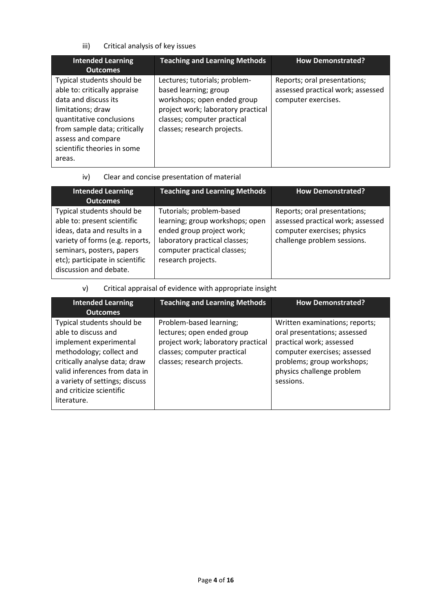iii) Critical analysis of key issues

| <b>Intended Learning</b><br><b>Outcomes</b>                                                                                                                                                                                        | <b>Teaching and Learning Methods</b>                                                                                                                                                      | <b>How Demonstrated?</b>                                                                 |
|------------------------------------------------------------------------------------------------------------------------------------------------------------------------------------------------------------------------------------|-------------------------------------------------------------------------------------------------------------------------------------------------------------------------------------------|------------------------------------------------------------------------------------------|
| Typical students should be<br>able to: critically appraise<br>data and discuss its<br>limitations; draw<br>quantitative conclusions<br>from sample data; critically<br>assess and compare<br>scientific theories in some<br>areas. | Lectures; tutorials; problem-<br>based learning; group<br>workshops; open ended group<br>project work; laboratory practical<br>classes; computer practical<br>classes; research projects. | Reports; oral presentations;<br>assessed practical work; assessed<br>computer exercises. |

### iv) Clear and concise presentation of material

| <b>Intended Learning</b><br><b>Outcomes</b>                                                                                                                                                                            | <b>Teaching and Learning Methods</b>                                                                                                                                           | <b>How Demonstrated?</b>                                                                                                        |
|------------------------------------------------------------------------------------------------------------------------------------------------------------------------------------------------------------------------|--------------------------------------------------------------------------------------------------------------------------------------------------------------------------------|---------------------------------------------------------------------------------------------------------------------------------|
| Typical students should be<br>able to: present scientific<br>ideas, data and results in a<br>variety of forms (e.g. reports,<br>seminars, posters, papers<br>etc); participate in scientific<br>discussion and debate. | Tutorials; problem-based<br>learning; group workshops; open<br>ended group project work;<br>laboratory practical classes;<br>computer practical classes;<br>research projects. | Reports; oral presentations;<br>assessed practical work; assessed<br>computer exercises; physics<br>challenge problem sessions. |

# v) Critical appraisal of evidence with appropriate insight

| <b>Intended Learning</b><br><b>Outcomes</b>                                                                                                                                                                                                            | <b>Teaching and Learning Methods</b>                                                                                                                      | <b>How Demonstrated?</b>                                                                                                                                                                           |
|--------------------------------------------------------------------------------------------------------------------------------------------------------------------------------------------------------------------------------------------------------|-----------------------------------------------------------------------------------------------------------------------------------------------------------|----------------------------------------------------------------------------------------------------------------------------------------------------------------------------------------------------|
| Typical students should be<br>able to discuss and<br>implement experimental<br>methodology; collect and<br>critically analyse data; draw<br>valid inferences from data in<br>a variety of settings; discuss<br>and criticize scientific<br>literature. | Problem-based learning;<br>lectures; open ended group<br>project work; laboratory practical<br>classes; computer practical<br>classes; research projects. | Written examinations; reports;<br>oral presentations; assessed<br>practical work; assessed<br>computer exercises; assessed<br>problems; group workshops;<br>physics challenge problem<br>sessions. |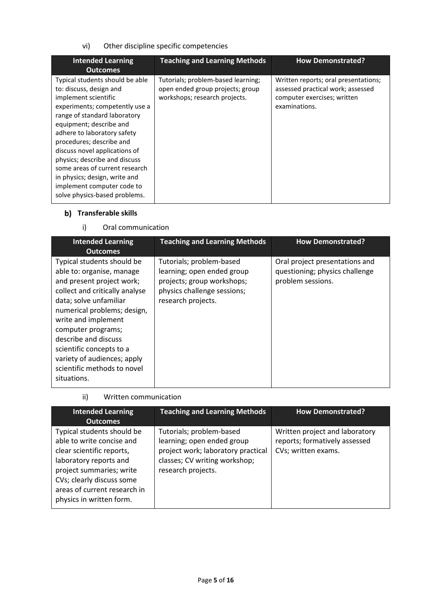vi) Other discipline specific competencies

| <b>Intended Learning</b><br><b>Outcomes</b>                                                                                                                                                                                                                                                                                                                                                                                                    | <b>Teaching and Learning Methods</b>                                                                    | <b>How Demonstrated?</b>                                                                                                  |
|------------------------------------------------------------------------------------------------------------------------------------------------------------------------------------------------------------------------------------------------------------------------------------------------------------------------------------------------------------------------------------------------------------------------------------------------|---------------------------------------------------------------------------------------------------------|---------------------------------------------------------------------------------------------------------------------------|
| Typical students should be able<br>to: discuss, design and<br>implement scientific<br>experiments; competently use a<br>range of standard laboratory<br>equipment; describe and<br>adhere to laboratory safety<br>procedures; describe and<br>discuss novel applications of<br>physics; describe and discuss<br>some areas of current research<br>in physics; design, write and<br>implement computer code to<br>solve physics-based problems. | Tutorials; problem-based learning;<br>open ended group projects; group<br>workshops; research projects. | Written reports; oral presentations;<br>assessed practical work; assessed<br>computer exercises; written<br>examinations. |

# **Transferable skills**

i) Oral communication

| <b>Intended Learning</b><br><b>Outcomes</b>                                                                                                                                                                                                                                                                                                                   | <b>Teaching and Learning Methods</b>                                                                                                      | <b>How Demonstrated?</b>                                                              |
|---------------------------------------------------------------------------------------------------------------------------------------------------------------------------------------------------------------------------------------------------------------------------------------------------------------------------------------------------------------|-------------------------------------------------------------------------------------------------------------------------------------------|---------------------------------------------------------------------------------------|
| Typical students should be<br>able to: organise, manage<br>and present project work;<br>collect and critically analyse<br>data; solve unfamiliar<br>numerical problems; design,<br>write and implement<br>computer programs;<br>describe and discuss<br>scientific concepts to a<br>variety of audiences; apply<br>scientific methods to novel<br>situations. | Tutorials; problem-based<br>learning; open ended group<br>projects; group workshops;<br>physics challenge sessions;<br>research projects. | Oral project presentations and<br>questioning; physics challenge<br>problem sessions. |

#### ii) Written communication

| <b>Intended Learning</b><br><b>Outcomes</b>                                                                                                                                                                                         | <b>Teaching and Learning Methods</b>                                                                                                                | <b>How Demonstrated?</b>                                                               |
|-------------------------------------------------------------------------------------------------------------------------------------------------------------------------------------------------------------------------------------|-----------------------------------------------------------------------------------------------------------------------------------------------------|----------------------------------------------------------------------------------------|
| Typical students should be<br>able to write concise and<br>clear scientific reports,<br>laboratory reports and<br>project summaries; write<br>CVs; clearly discuss some<br>areas of current research in<br>physics in written form. | Tutorials; problem-based<br>learning; open ended group<br>project work; laboratory practical<br>classes; CV writing workshop;<br>research projects. | Written project and laboratory<br>reports; formatively assessed<br>CVs; written exams. |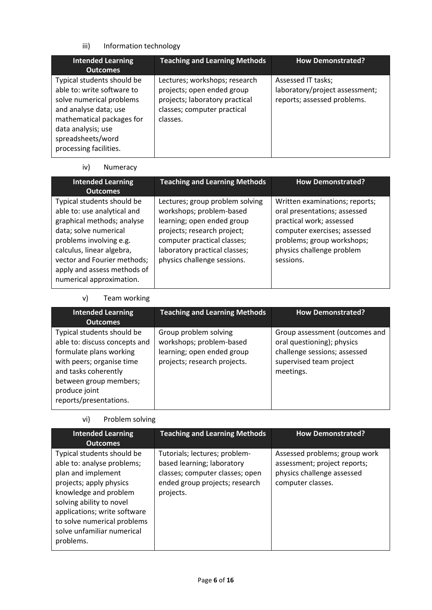# iii) Information technology

| <b>Intended Learning</b><br><b>Outcomes</b>                                                                                                                                                                     | <b>Teaching and Learning Methods</b>                                                                                                     | <b>How Demonstrated?</b>                                                            |
|-----------------------------------------------------------------------------------------------------------------------------------------------------------------------------------------------------------------|------------------------------------------------------------------------------------------------------------------------------------------|-------------------------------------------------------------------------------------|
| Typical students should be<br>able to: write software to<br>solve numerical problems<br>and analyse data; use<br>mathematical packages for<br>data analysis; use<br>spreadsheets/word<br>processing facilities. | Lectures; workshops; research<br>projects; open ended group<br>projects; laboratory practical<br>classes; computer practical<br>classes. | Assessed IT tasks;<br>laboratory/project assessment;<br>reports; assessed problems. |

# iv) Numeracy

| <b>Intended Learning</b><br><b>Outcomes</b>                                                                                                                                                                                                                        | <b>Teaching and Learning Methods</b>                                                                                                                                                                                    | <b>How Demonstrated?</b>                                                                                                                                                                           |
|--------------------------------------------------------------------------------------------------------------------------------------------------------------------------------------------------------------------------------------------------------------------|-------------------------------------------------------------------------------------------------------------------------------------------------------------------------------------------------------------------------|----------------------------------------------------------------------------------------------------------------------------------------------------------------------------------------------------|
| Typical students should be<br>able to: use analytical and<br>graphical methods; analyse<br>data; solve numerical<br>problems involving e.g.<br>calculus, linear algebra,<br>vector and Fourier methods;<br>apply and assess methods of<br>numerical approximation. | Lectures; group problem solving<br>workshops; problem-based<br>learning; open ended group<br>projects; research project;<br>computer practical classes;<br>laboratory practical classes;<br>physics challenge sessions. | Written examinations; reports;<br>oral presentations; assessed<br>practical work; assessed<br>computer exercises; assessed<br>problems; group workshops;<br>physics challenge problem<br>sessions. |

# v) Team working

| <b>Intended Learning</b><br><b>Outcomes</b>                                                                                                                                                                      | <b>Teaching and Learning Methods</b>                                                                            | <b>How Demonstrated?</b>                                                                                                             |
|------------------------------------------------------------------------------------------------------------------------------------------------------------------------------------------------------------------|-----------------------------------------------------------------------------------------------------------------|--------------------------------------------------------------------------------------------------------------------------------------|
| Typical students should be<br>able to: discuss concepts and<br>formulate plans working<br>with peers; organise time<br>and tasks coherently<br>between group members;<br>produce joint<br>reports/presentations. | Group problem solving<br>workshops; problem-based<br>learning; open ended group<br>projects; research projects. | Group assessment (outcomes and<br>oral questioning); physics<br>challenge sessions; assessed<br>supervised team project<br>meetings. |

# vi) Problem solving

| <b>Intended Learning</b><br><b>Outcomes</b>                                                                                                                                                                                                                              | <b>Teaching and Learning Methods</b>                                                                                                          | <b>How Demonstrated?</b>                                                                                         |
|--------------------------------------------------------------------------------------------------------------------------------------------------------------------------------------------------------------------------------------------------------------------------|-----------------------------------------------------------------------------------------------------------------------------------------------|------------------------------------------------------------------------------------------------------------------|
| Typical students should be<br>able to: analyse problems;<br>plan and implement<br>projects; apply physics<br>knowledge and problem<br>solving ability to novel<br>applications; write software<br>to solve numerical problems<br>solve unfamiliar numerical<br>problems. | Tutorials; lectures; problem-<br>based learning; laboratory<br>classes; computer classes; open<br>ended group projects; research<br>projects. | Assessed problems; group work<br>assessment; project reports;<br>physics challenge assessed<br>computer classes. |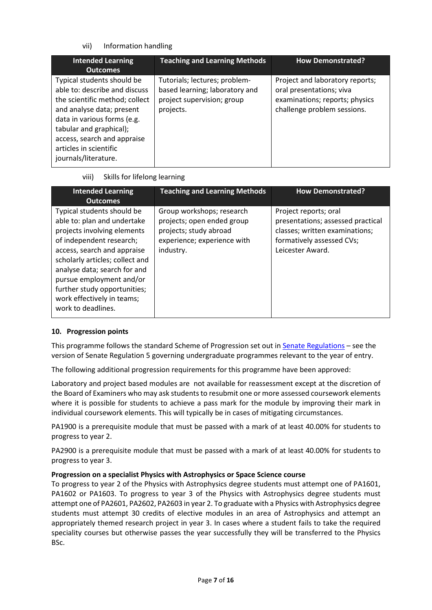# vii) Information handling

| <b>Intended Learning</b><br><b>Outcomes</b>                                                                                                                                                                                                                           | <b>Teaching and Learning Methods</b>                                                                       | <b>How Demonstrated?</b>                                                                                                     |
|-----------------------------------------------------------------------------------------------------------------------------------------------------------------------------------------------------------------------------------------------------------------------|------------------------------------------------------------------------------------------------------------|------------------------------------------------------------------------------------------------------------------------------|
| Typical students should be<br>able to: describe and discuss<br>the scientific method; collect<br>and analyse data; present<br>data in various forms (e.g.<br>tabular and graphical);<br>access, search and appraise<br>articles in scientific<br>journals/literature. | Tutorials; lectures; problem-<br>based learning; laboratory and<br>project supervision; group<br>projects. | Project and laboratory reports;<br>oral presentations; viva<br>examinations; reports; physics<br>challenge problem sessions. |

|  | viii) | Skills for lifelong learning |  |
|--|-------|------------------------------|--|
|--|-------|------------------------------|--|

| <b>Intended Learning</b><br><b>Outcomes</b>                                                                                                                                                                                                                                                                                            | <b>Teaching and Learning Methods</b>                                                                                          | <b>How Demonstrated?</b>                                                                                                                      |
|----------------------------------------------------------------------------------------------------------------------------------------------------------------------------------------------------------------------------------------------------------------------------------------------------------------------------------------|-------------------------------------------------------------------------------------------------------------------------------|-----------------------------------------------------------------------------------------------------------------------------------------------|
| Typical students should be<br>able to: plan and undertake<br>projects involving elements<br>of independent research;<br>access, search and appraise<br>scholarly articles; collect and<br>analyse data; search for and<br>pursue employment and/or<br>further study opportunities;<br>work effectively in teams;<br>work to deadlines. | Group workshops; research<br>projects; open ended group<br>projects; study abroad<br>experience; experience with<br>industry. | Project reports; oral<br>presentations; assessed practical<br>classes; written examinations;<br>formatively assessed CVs;<br>Leicester Award. |

# **10. Progression points**

This programme follows the standard Scheme of Progression set out i[n Senate Regulations](http://www.le.ac.uk/senate-regulations) – see the version of Senate Regulation 5 governing undergraduate programmes relevant to the year of entry.

The following additional progression requirements for this programme have been approved:

Laboratory and project based modules are not available for reassessment except at the discretion of the Board of Examiners who may ask students to resubmit one or more assessed coursework elements where it is possible for students to achieve a pass mark for the module by improving their mark in individual coursework elements. This will typically be in cases of mitigating circumstances.

PA1900 is a prerequisite module that must be passed with a mark of at least 40.00% for students to progress to year 2.

PA2900 is a prerequisite module that must be passed with a mark of at least 40.00% for students to progress to year 3.

#### **Progression on a specialist Physics with Astrophysics or Space Science course**

To progress to year 2 of the Physics with Astrophysics degree students must attempt one of PA1601, PA1602 or PA1603. To progress to year 3 of the Physics with Astrophysics degree students must attempt one of PA2601, PA2602, PA2603 in year 2. To graduate with a Physics with Astrophysics degree students must attempt 30 credits of elective modules in an area of Astrophysics and attempt an appropriately themed research project in year 3. In cases where a student fails to take the required speciality courses but otherwise passes the year successfully they will be transferred to the Physics BSc.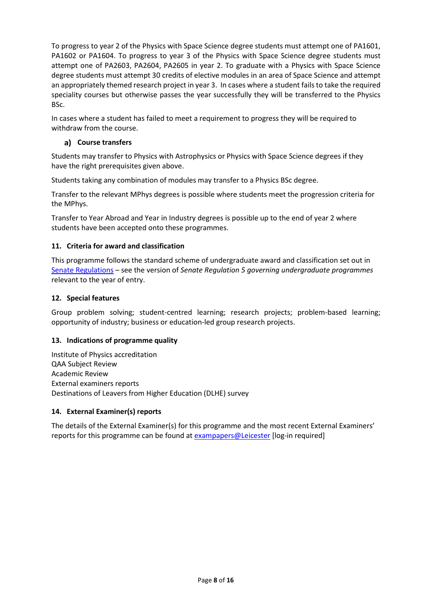To progress to year 2 of the Physics with Space Science degree students must attempt one of PA1601, PA1602 or PA1604. To progress to year 3 of the Physics with Space Science degree students must attempt one of PA2603, PA2604, PA2605 in year 2. To graduate with a Physics with Space Science degree students must attempt 30 credits of elective modules in an area of Space Science and attempt an appropriately themed research project in year 3. In cases where a student fails to take the required speciality courses but otherwise passes the year successfully they will be transferred to the Physics BSc.

In cases where a student has failed to meet a requirement to progress they will be required to withdraw from the course.

# **Course transfers**

Students may transfer to Physics with Astrophysics or Physics with Space Science degrees if they have the right prerequisites given above.

Students taking any combination of modules may transfer to a Physics BSc degree.

Transfer to the relevant MPhys degrees is possible where students meet the progression criteria for the MPhys.

Transfer to Year Abroad and Year in Industry degrees is possible up to the end of year 2 where students have been accepted onto these programmes.

# **11. Criteria for award and classification**

This programme follows the standard scheme of undergraduate award and classification set out in [Senate Regulations](http://www.le.ac.uk/senate-regulations) – see the version of *Senate Regulation 5 governing undergraduate programmes* relevant to the year of entry.

# **12. Special features**

Group problem solving; student-centred learning; research projects; problem-based learning; opportunity of industry; business or education-led group research projects.

# **13. Indications of programme quality**

Institute of Physics accreditation QAA Subject Review Academic Review External examiners reports Destinations of Leavers from Higher Education (DLHE) survey

# **14. External Examiner(s) reports**

The details of the External Examiner(s) for this programme and the most recent External Examiners' reports for this programme can be found at [exampapers@Leicester](https://exampapers.le.ac.uk/) [log-in required]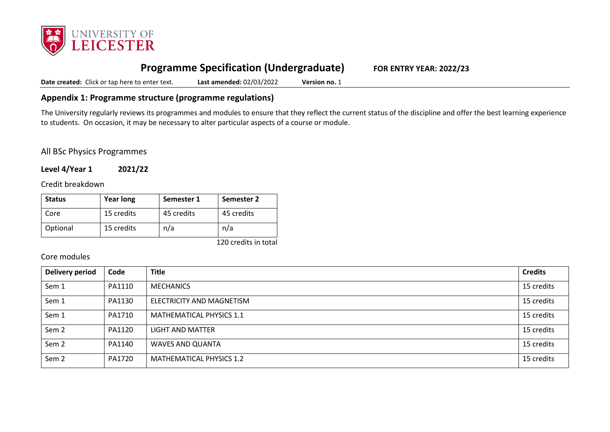

# **Programme Specification (Undergraduate) FOR ENTRY YEAR: 2022/23**

**Date created:** Click or tap here to enter text. **Last amended:** 02/03/2022 **Version no.** 1

# **Appendix 1: Programme structure (programme regulations)**

The University regularly reviews its programmes and modules to ensure that they reflect the current status of the discipline and offer the best learning experience to students. On occasion, it may be necessary to alter particular aspects of a course or module.

All BSc Physics Programmes

**Level 4/Year 1 2021/22**

Credit breakdown

| <b>Status</b> | <b>Year long</b> | Semester 1 | Semester 2 |
|---------------|------------------|------------|------------|
| Core          | 15 credits       | 45 credits | 45 credits |
| Optional      | 15 credits       | n/a        | n/a        |

120 credits in total

# Core modules

| <b>Delivery period</b> | Code   | <b>Title</b>                    | <b>Credits</b> |
|------------------------|--------|---------------------------------|----------------|
| Sem 1                  | PA1110 | <b>MECHANICS</b>                | 15 credits     |
| Sem 1                  | PA1130 | ELECTRICITY AND MAGNETISM       | 15 credits     |
| Sem 1                  | PA1710 | MATHEMATICAL PHYSICS 1.1        | 15 credits     |
| Sem <sub>2</sub>       | PA1120 | <b>LIGHT AND MATTER</b>         | 15 credits     |
| Sem <sub>2</sub>       | PA1140 | WAVES AND QUANTA                | 15 credits     |
| Sem <sub>2</sub>       | PA1720 | <b>MATHEMATICAL PHYSICS 1.2</b> | 15 credits     |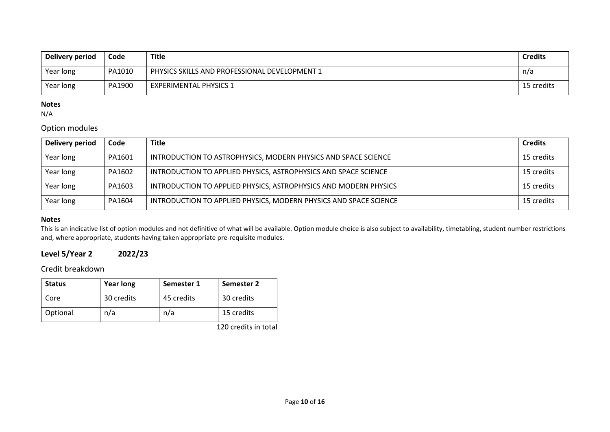| Delivery period | Code   | <b>Title</b>                                  | <b>Credits</b> |
|-----------------|--------|-----------------------------------------------|----------------|
| Year long       | PA1010 | PHYSICS SKILLS AND PROFESSIONAL DEVELOPMENT 1 | n/a            |
| Year long       | PA1900 | <b>EXPERIMENTAL PHYSICS 1</b>                 | 15 credits     |

### **Notes**

N/A

# Option modules

| <b>Delivery period</b> | Code   | <b>Title</b>                                                      | <b>Credits</b> |
|------------------------|--------|-------------------------------------------------------------------|----------------|
| Year long              | PA1601 | INTRODUCTION TO ASTROPHYSICS, MODERN PHYSICS AND SPACE SCIENCE    | 15 credits     |
| Year long              | PA1602 | INTRODUCTION TO APPLIED PHYSICS, ASTROPHYSICS AND SPACE SCIENCE   | 15 credits     |
| Year long              | PA1603 | INTRODUCTION TO APPLIED PHYSICS, ASTROPHYSICS AND MODERN PHYSICS  | 15 credits     |
| Year long              | PA1604 | INTRODUCTION TO APPLIED PHYSICS, MODERN PHYSICS AND SPACE SCIENCE | 15 credits     |

### **Notes**

This is an indicative list of option modules and not definitive of what will be available. Option module choice is also subject to availability, timetabling, student number restrictions and, where appropriate, students having taken appropriate pre-requisite modules.

# **Level 5/Year 2 2022/23**

Credit breakdown

| <b>Status</b> | <b>Year long</b> | Semester 1 | Semester 2 |
|---------------|------------------|------------|------------|
| Core          | 30 credits       | 45 credits | 30 credits |
| Optional      | n/a              | n/a        | 15 credits |

120 credits in total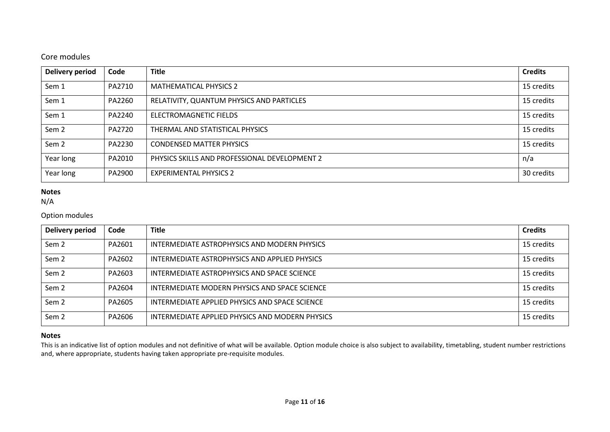# Core modules

| <b>Delivery period</b> | Code   | <b>Title</b>                                  | <b>Credits</b> |
|------------------------|--------|-----------------------------------------------|----------------|
| Sem 1                  | PA2710 | <b>MATHEMATICAL PHYSICS 2</b>                 | 15 credits     |
| Sem 1                  | PA2260 | RELATIVITY, QUANTUM PHYSICS AND PARTICLES     | 15 credits     |
| Sem 1                  | PA2240 | ELECTROMAGNETIC FIELDS                        | 15 credits     |
| Sem <sub>2</sub>       | PA2720 | THERMAL AND STATISTICAL PHYSICS               | 15 credits     |
| Sem <sub>2</sub>       | PA2230 | <b>CONDENSED MATTER PHYSICS</b>               | 15 credits     |
| Year long              | PA2010 | PHYSICS SKILLS AND PROFESSIONAL DEVELOPMENT 2 | n/a            |
| Year long              | PA2900 | <b>EXPERIMENTAL PHYSICS 2</b>                 | 30 credits     |

# **Notes**

N/A

# Option modules

| Delivery period  | Code   | <b>Title</b>                                    | <b>Credits</b> |
|------------------|--------|-------------------------------------------------|----------------|
| Sem <sub>2</sub> | PA2601 | INTERMEDIATE ASTROPHYSICS AND MODERN PHYSICS    | 15 credits     |
| Sem <sub>2</sub> | PA2602 | INTERMEDIATE ASTROPHYSICS AND APPLIED PHYSICS   | 15 credits     |
| Sem <sub>2</sub> | PA2603 | INTERMEDIATE ASTROPHYSICS AND SPACE SCIENCE     | 15 credits     |
| Sem <sub>2</sub> | PA2604 | INTERMEDIATE MODERN PHYSICS AND SPACE SCIENCE   | 15 credits     |
| Sem <sub>2</sub> | PA2605 | INTERMEDIATE APPLIED PHYSICS AND SPACE SCIENCE  | 15 credits     |
| Sem <sub>2</sub> | PA2606 | INTERMEDIATE APPLIED PHYSICS AND MODERN PHYSICS | 15 credits     |

### **Notes**

This is an indicative list of option modules and not definitive of what will be available. Option module choice is also subject to availability, timetabling, student number restrictions and, where appropriate, students having taken appropriate pre-requisite modules.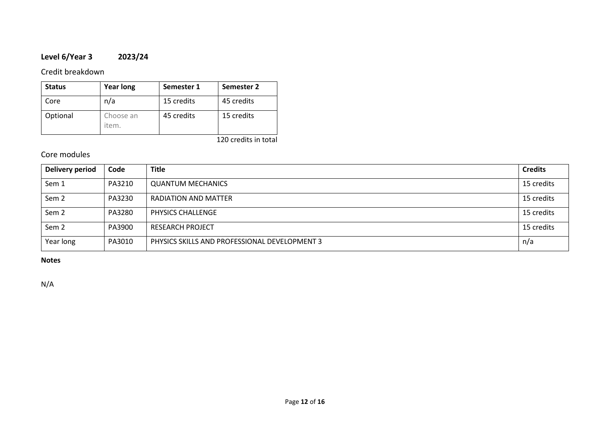# **Level 6/Year 3 2023/24**

# Credit breakdown

| <b>Status</b> | <b>Year long</b>   | Semester 1 | Semester 2 |
|---------------|--------------------|------------|------------|
| Core          | n/a                | 15 credits | 45 credits |
| Optional      | Choose an<br>item. | 45 credits | 15 credits |

120 credits in total

# Core modules

| Delivery period  | Code   | <b>Title</b>                                  | <b>Credits</b> |
|------------------|--------|-----------------------------------------------|----------------|
| Sem 1            | PA3210 | <b>QUANTUM MECHANICS</b>                      | 15 credits     |
| Sem <sub>2</sub> | PA3230 | RADIATION AND MATTER                          | 15 credits     |
| Sem <sub>2</sub> | PA3280 | <b>PHYSICS CHALLENGE</b>                      | 15 credits     |
| Sem <sub>2</sub> | PA3900 | <b>RESEARCH PROJECT</b>                       | 15 credits     |
| Year long        | PA3010 | PHYSICS SKILLS AND PROFESSIONAL DEVELOPMENT 3 | n/a            |

#### **Notes**

N/A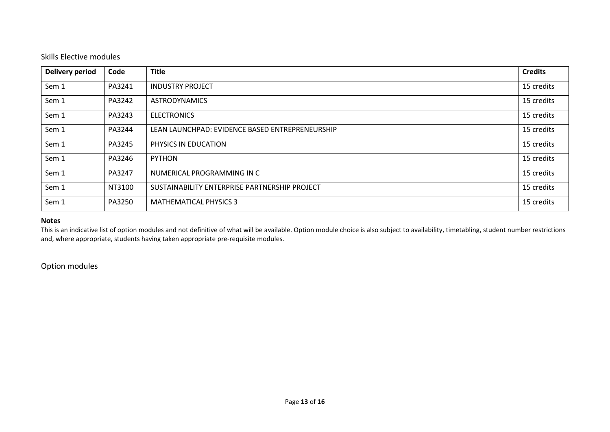# Skills Elective modules

| <b>Delivery period</b> | Code   | <b>Title</b>                                    | <b>Credits</b> |
|------------------------|--------|-------------------------------------------------|----------------|
| Sem 1                  | PA3241 | <b>INDUSTRY PROJECT</b>                         | 15 credits     |
| Sem 1                  | PA3242 | <b>ASTRODYNAMICS</b>                            | 15 credits     |
| Sem 1                  | PA3243 | <b>ELECTRONICS</b>                              | 15 credits     |
| Sem 1                  | PA3244 | LEAN LAUNCHPAD: EVIDENCE BASED ENTREPRENEURSHIP | 15 credits     |
| Sem 1                  | PA3245 | PHYSICS IN EDUCATION                            | 15 credits     |
| Sem 1                  | PA3246 | <b>PYTHON</b>                                   | 15 credits     |
| Sem 1                  | PA3247 | NUMERICAL PROGRAMMING IN C                      | 15 credits     |
| Sem 1                  | NT3100 | SUSTAINABILITY ENTERPRISE PARTNERSHIP PROJECT   | 15 credits     |
| Sem 1                  | PA3250 | <b>MATHEMATICAL PHYSICS 3</b>                   | 15 credits     |

### **Notes**

This is an indicative list of option modules and not definitive of what will be available. Option module choice is also subject to availability, timetabling, student number restrictions and, where appropriate, students having taken appropriate pre-requisite modules.

Option modules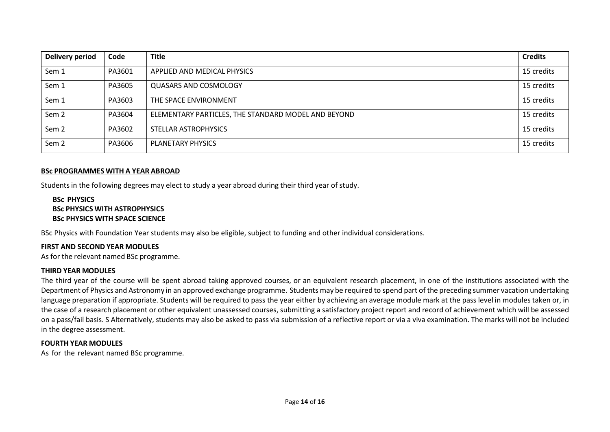| <b>Delivery period</b> | Code   | <b>Title</b>                                        | <b>Credits</b> |
|------------------------|--------|-----------------------------------------------------|----------------|
| Sem 1                  | PA3601 | APPLIED AND MEDICAL PHYSICS                         | 15 credits     |
| Sem 1                  | PA3605 | QUASARS AND COSMOLOGY                               | 15 credits     |
| Sem 1                  | PA3603 | THE SPACE ENVIRONMENT                               | 15 credits     |
| Sem <sub>2</sub>       | PA3604 | ELEMENTARY PARTICLES, THE STANDARD MODEL AND BEYOND | 15 credits     |
| Sem 2                  | PA3602 | STELLAR ASTROPHYSICS                                | 15 credits     |
| Sem <sub>2</sub>       | PA3606 | PLANETARY PHYSICS                                   | 15 credits     |

#### **BSc PROGRAMMES WITH A YEAR ABROAD**

Students in the following degrees may elect to study a year abroad during their third year of study.

### **BSc PHYSICS BSc PHYSICS WITH ASTROPHYSICS BSc PHYSICS WITH SPACE SCIENCE**

BSc Physics with Foundation Year students may also be eligible, subject to funding and other individual considerations.

#### **FIRST AND SECOND YEAR MODULES**

As for the relevant named BSc programme.

#### **THIRD YEAR MODULES**

The third year of the course will be spent abroad taking approved courses, or an equivalent research placement, in one of the institutions associated with the Department of Physics and Astronomy in an approved exchange programme. Students may be required to spend part of the preceding summer vacation undertaking language preparation if appropriate. Students will be required to pass the year either by achieving an average module mark at the pass level in modules taken or, in the case of a research placement or other equivalent unassessed courses, submitting a satisfactory project report and record of achievement which will be assessed on a pass/fail basis. S Alternatively, students may also be asked to pass via submission of a reflective report or via a viva examination. The marks will not be included in the degree assessment.

#### **FOURTH YEAR MODULES**

As for the relevant named BSc programme.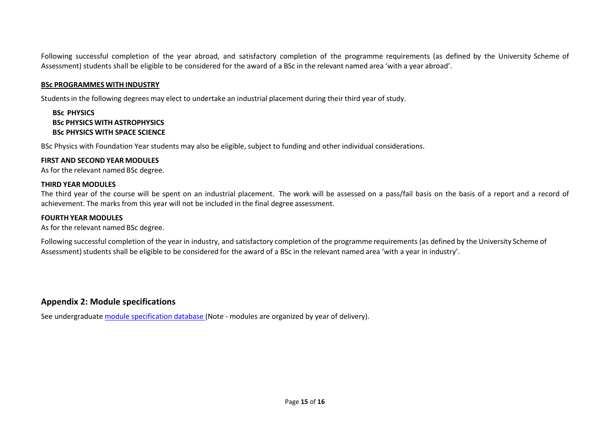Following successful completion of the year abroad, and satisfactory completion of the programme requirements (as defined by the University Scheme of Assessment) students shall be eligible to be considered for the award of a BSc in the relevant named area 'with a year abroad'.

#### **BSc PROGRAMMES WITH INDUSTRY**

Studentsin the following degrees may elect to undertake an industrial placement during their third year of study.

# **BSc PHYSICS BSc PHYSICS WITH ASTROPHYSICS BSc PHYSICS WITH SPACE SCIENCE**

BSc Physics with Foundation Year students may also be eligible, subject to funding and other individual considerations.

#### **FIRST AND SECOND YEAR MODULES**

As for the relevant named BSc degree.

#### **THIRD YEAR MODULES**

The third year of the course will be spent on an industrial placement. The work will be assessed on a pass/fail basis on the basis of a report and a record of achievement. The marks from this year will not be included in the final degree assessment.

#### **FOURTH YEAR MODULES**

As for the relevant named BSc degree.

Following successful completion of the year in industry, and satisfactory completion of the programme requirements (as defined by the University Scheme of Assessment) students shall be eligible to be considered for the award of a BSc in the relevant named area 'with a year in industry'.

# **Appendix 2: Module specifications**

See undergraduat[e module specification database](http://www.le.ac.uk/sas/courses/documentation) (Note - modules are organized by year of delivery).